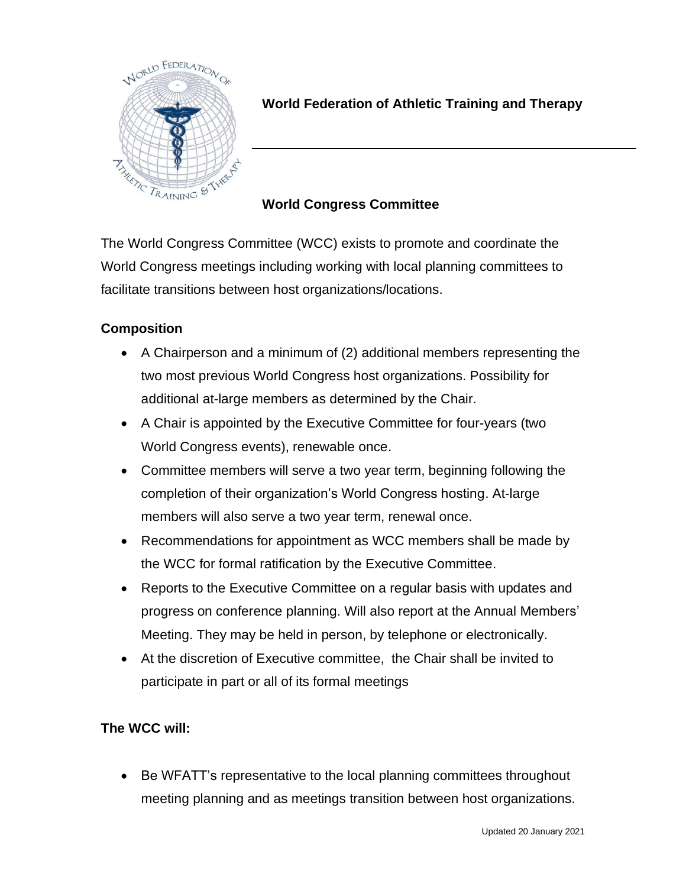

## **World Federation of Athletic Training and Therapy**

## **World Congress Committee**

The World Congress Committee (WCC) exists to promote and coordinate the World Congress meetings including working with local planning committees to facilitate transitions between host organizations/locations.

## **Composition**

- A Chairperson and a minimum of (2) additional members representing the two most previous World Congress host organizations. Possibility for additional at-large members as determined by the Chair.
- A Chair is appointed by the Executive Committee for four-years (two World Congress events), renewable once.
- Committee members will serve a two year term, beginning following the completion of their organization's World Congress hosting. At-large members will also serve a two year term, renewal once.
- Recommendations for appointment as WCC members shall be made by the WCC for formal ratification by the Executive Committee.
- Reports to the Executive Committee on a regular basis with updates and progress on conference planning. Will also report at the Annual Members' Meeting. They may be held in person, by telephone or electronically.
- At the discretion of Executive committee, the Chair shall be invited to participate in part or all of its formal meetings

## **The WCC will:**

• Be WFATT's representative to the local planning committees throughout meeting planning and as meetings transition between host organizations.